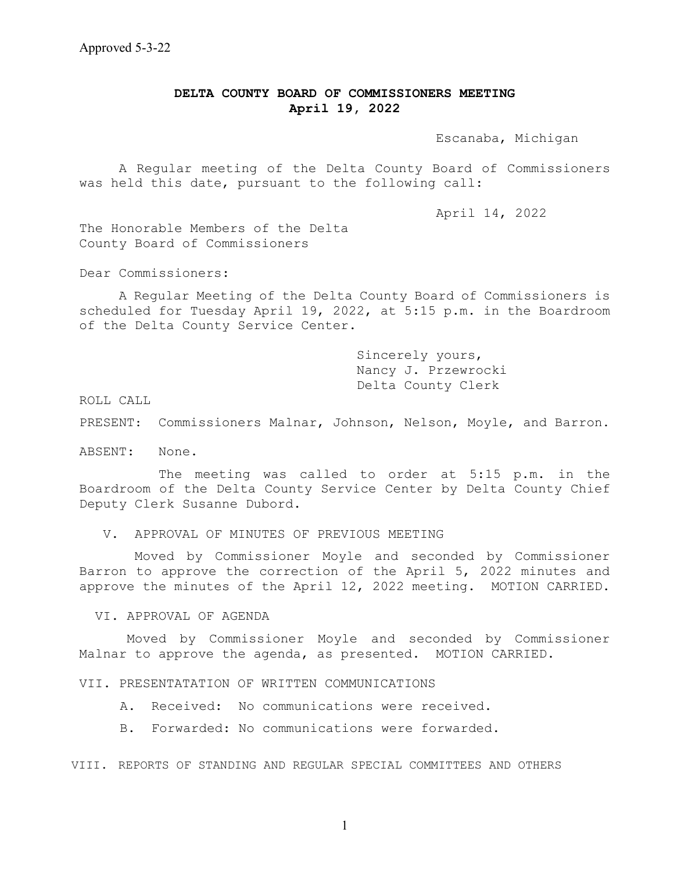## **DELTA COUNTY BOARD OF COMMISSIONERS MEETING April 19, 2022**

Escanaba, Michigan

 A Regular meeting of the Delta County Board of Commissioners was held this date, pursuant to the following call:

April 14, 2022

The Honorable Members of the Delta County Board of Commissioners

Dear Commissioners:

A Regular Meeting of the Delta County Board of Commissioners is scheduled for Tuesday April 19, 2022, at 5:15 p.m. in the Boardroom of the Delta County Service Center.

> Sincerely yours, Nancy J. Przewrocki Delta County Clerk

ROLL CALL

PRESENT: Commissioners Malnar, Johnson, Nelson, Moyle, and Barron.

ABSENT: None.

The meeting was called to order at 5:15 p.m. in the Boardroom of the Delta County Service Center by Delta County Chief Deputy Clerk Susanne Dubord.

V. APPROVAL OF MINUTES OF PREVIOUS MEETING

 Moved by Commissioner Moyle and seconded by Commissioner Barron to approve the correction of the April 5, 2022 minutes and approve the minutes of the April 12, 2022 meeting. MOTION CARRIED.

VI. APPROVAL OF AGENDA

Moved by Commissioner Moyle and seconded by Commissioner Malnar to approve the agenda, as presented. MOTION CARRIED.

VII. PRESENTATATION OF WRITTEN COMMUNICATIONS

A. Received: No communications were received.

B. Forwarded: No communications were forwarded.

VIII. REPORTS OF STANDING AND REGULAR SPECIAL COMMITTEES AND OTHERS

1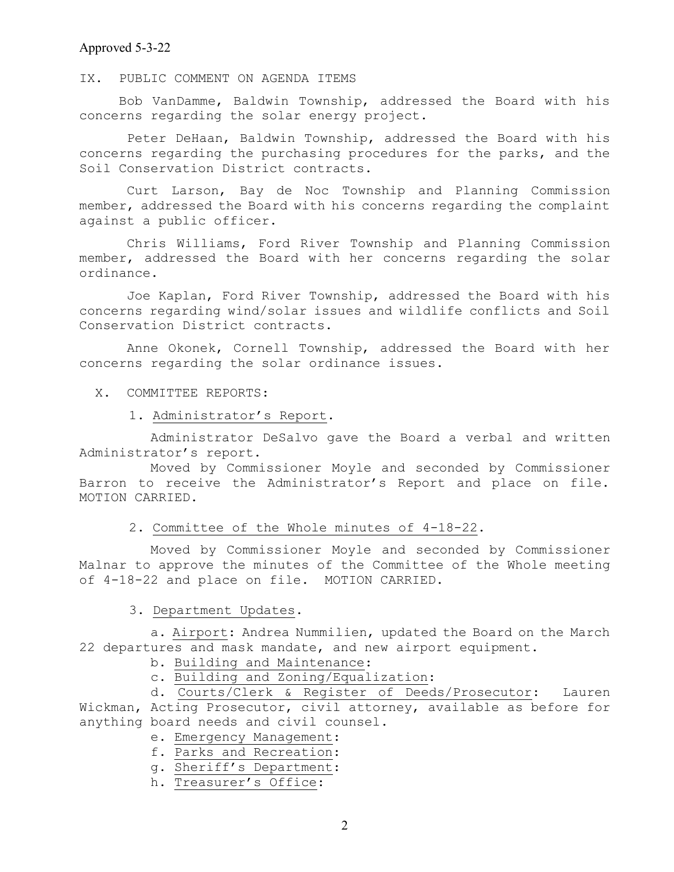## Approved 5-3-22

IX. PUBLIC COMMENT ON AGENDA ITEMS

 Bob VanDamme, Baldwin Township, addressed the Board with his concerns regarding the solar energy project.

Peter DeHaan, Baldwin Township, addressed the Board with his concerns regarding the purchasing procedures for the parks, and the Soil Conservation District contracts.

Curt Larson, Bay de Noc Township and Planning Commission member, addressed the Board with his concerns regarding the complaint against a public officer.

Chris Williams, Ford River Township and Planning Commission member, addressed the Board with her concerns regarding the solar ordinance.

Joe Kaplan, Ford River Township, addressed the Board with his concerns regarding wind/solar issues and wildlife conflicts and Soil Conservation District contracts.

Anne Okonek, Cornell Township, addressed the Board with her concerns regarding the solar ordinance issues.

X. COMMITTEE REPORTS:

1. Administrator's Report.

 Administrator DeSalvo gave the Board a verbal and written Administrator's report.

 Moved by Commissioner Moyle and seconded by Commissioner Barron to receive the Administrator's Report and place on file. MOTION CARRIED.

## 2. Committee of the Whole minutes of 4-18-22.

 Moved by Commissioner Moyle and seconded by Commissioner Malnar to approve the minutes of the Committee of the Whole meeting of 4-18-22 and place on file. MOTION CARRIED.

3. Department Updates.

 a. Airport: Andrea Nummilien, updated the Board on the March 22 departures and mask mandate, and new airport equipment.

b. Building and Maintenance:

c. Building and Zoning/Equalization:

 d. Courts/Clerk & Register of Deeds/Prosecutor: Lauren Wickman, Acting Prosecutor, civil attorney, available as before for anything board needs and civil counsel.

- e. Emergency Management:
- f. Parks and Recreation:
- g. Sheriff's Department:
- h. Treasurer's Office: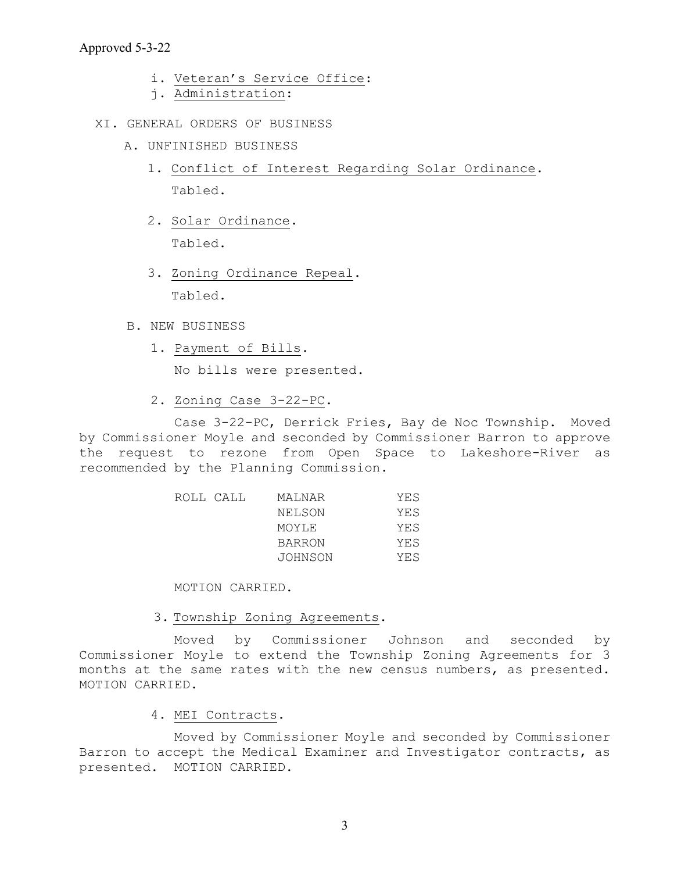- i. Veteran's Service Office:
- j. Administration:
- XI. GENERAL ORDERS OF BUSINESS
	- A. UNFINISHED BUSINESS
		- 1. Conflict of Interest Regarding Solar Ordinance. Tabled.
		- 2. Solar Ordinance. Tabled.
		- 3. Zoning Ordinance Repeal. Tabled.
	- B. NEW BUSINESS
		- 1. Payment of Bills.

No bills were presented.

2. Zoning Case 3-22-PC.

 Case 3-22-PC, Derrick Fries, Bay de Noc Township. Moved by Commissioner Moyle and seconded by Commissioner Barron to approve the request to rezone from Open Space to Lakeshore-River as recommended by the Planning Commission.

|  | ROLL CALL | MALNAR        | YES |
|--|-----------|---------------|-----|
|  |           | NELSON        | YES |
|  |           | MOYLE         | YES |
|  |           | <b>BARRON</b> | YES |
|  |           | JOHNSON       | YES |

MOTION CARRIED.

3. Township Zoning Agreements.

 Moved by Commissioner Johnson and seconded by Commissioner Moyle to extend the Township Zoning Agreements for 3 months at the same rates with the new census numbers, as presented. MOTION CARRIED.

4. MEI Contracts.

 Moved by Commissioner Moyle and seconded by Commissioner Barron to accept the Medical Examiner and Investigator contracts, as presented. MOTION CARRIED.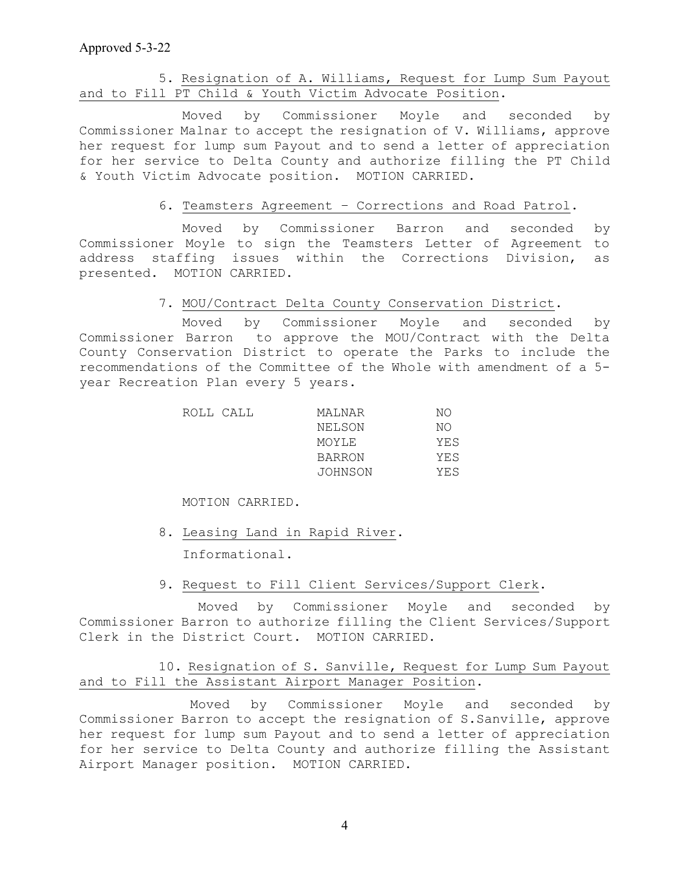# 5. Resignation of A. Williams, Request for Lump Sum Payout and to Fill PT Child & Youth Victim Advocate Position.

 Moved by Commissioner Moyle and seconded by Commissioner Malnar to accept the resignation of V. Williams, approve her request for lump sum Payout and to send a letter of appreciation for her service to Delta County and authorize filling the PT Child & Youth Victim Advocate position. MOTION CARRIED.

## 6. Teamsters Agreement – Corrections and Road Patrol.

 Moved by Commissioner Barron and seconded by Commissioner Moyle to sign the Teamsters Letter of Agreement to address staffing issues within the Corrections Division, as presented. MOTION CARRIED.

# 7. MOU/Contract Delta County Conservation District.

 Moved by Commissioner Moyle and seconded by Commissioner Barron to approve the MOU/Contract with the Delta County Conservation District to operate the Parks to include the recommendations of the Committee of the Whole with amendment of a 5 year Recreation Plan every 5 years.

| MALNAR  | NΟ        |
|---------|-----------|
| NELSON  | NΟ        |
| MOYLE   | YES       |
| BARRON  | YES       |
| JOHNSON | YES       |
|         | ROLL CALL |

#### MOTION CARRIED.

8. Leasing Land in Rapid River.

Informational.

## 9. Request to Fill Client Services/Support Clerk.

Moved by Commissioner Moyle and seconded by Commissioner Barron to authorize filling the Client Services/Support Clerk in the District Court. MOTION CARRIED.

# 10. Resignation of S. Sanville, Request for Lump Sum Payout and to Fill the Assistant Airport Manager Position.

 Moved by Commissioner Moyle and seconded by Commissioner Barron to accept the resignation of S.Sanville, approve her request for lump sum Payout and to send a letter of appreciation for her service to Delta County and authorize filling the Assistant Airport Manager position. MOTION CARRIED.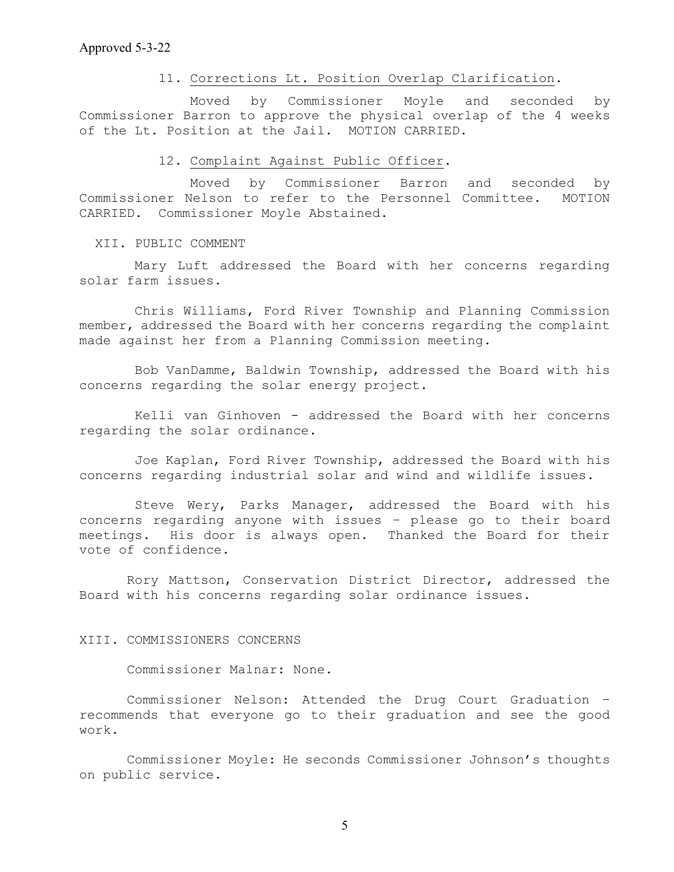## 11. Corrections Lt. Position Overlap Clarification.

 Moved by Commissioner Moyle and seconded by Commissioner Barron to approve the physical overlap of the 4 weeks of the Lt. Position at the Jail. MOTION CARRIED.

## 12. Complaint Against Public Officer.

 Moved by Commissioner Barron and seconded by Commissioner Nelson to refer to the Personnel Committee. MOTION CARRIED. Commissioner Moyle Abstained.

# XII. PUBLIC COMMENT

 Mary Luft addressed the Board with her concerns regarding solar farm issues.

Chris Williams, Ford River Township and Planning Commission member, addressed the Board with her concerns regarding the complaint made against her from a Planning Commission meeting.

 Bob VanDamme, Baldwin Township, addressed the Board with his concerns regarding the solar energy project.

 Kelli van Ginhoven - addressed the Board with her concerns regarding the solar ordinance.

Joe Kaplan, Ford River Township, addressed the Board with his concerns regarding industrial solar and wind and wildlife issues.

 Steve Wery, Parks Manager, addressed the Board with his concerns regarding anyone with issues – please go to their board meetings. His door is always open. Thanked the Board for their vote of confidence.

Rory Mattson, Conservation District Director, addressed the Board with his concerns regarding solar ordinance issues.

#### XIII. COMMISSIONERS CONCERNS

Commissioner Malnar: None.

 Commissioner Nelson: Attended the Drug Court Graduation – recommends that everyone go to their graduation and see the good work.

Commissioner Moyle: He seconds Commissioner Johnson's thoughts on public service.